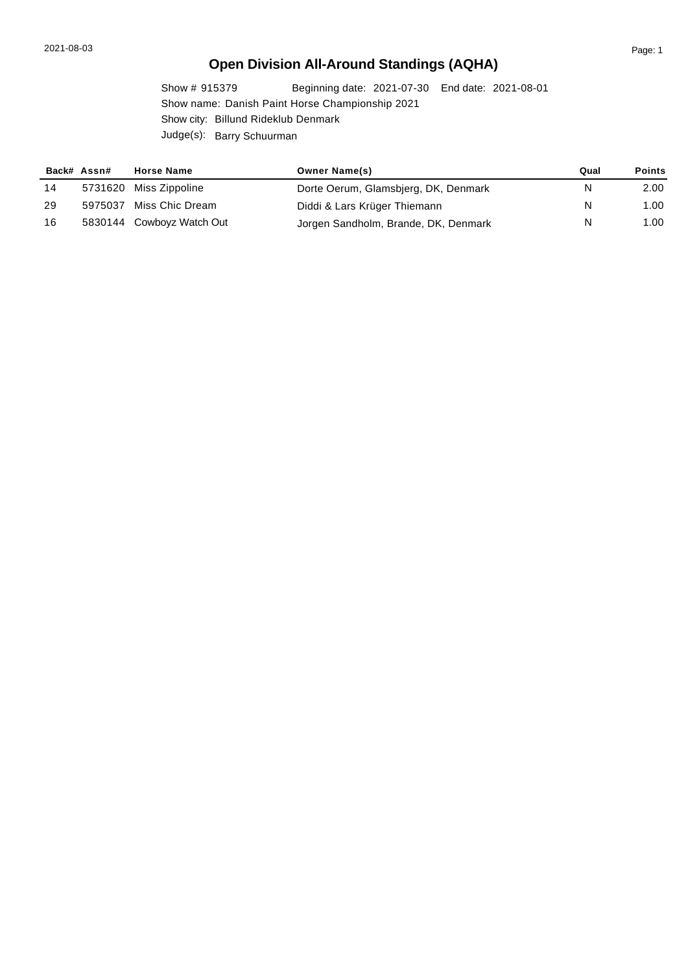# **Open Division All-Around Standings (AQHA)**

Show # 915379 Beginning date: 2021-07-30 End date: 2021-08-01 Show name: Danish Paint Horse Championship 2021 Show city: Billund Rideklub Denmark Judge(s): Barry Schuurman

|    | Back# Assn# | <b>Horse Name</b>         | <b>Owner Name(s)</b>                 | Qual | <b>Points</b> |
|----|-------------|---------------------------|--------------------------------------|------|---------------|
| 14 |             | 5731620 Miss Zippoline    | Dorte Oerum, Glamsbjerg, DK, Denmark | N    | 2.00          |
| 29 |             | 5975037 Miss Chic Dream   | Diddi & Lars Krüger Thiemann         | N    | 1.00          |
| 16 |             | 5830144 Cowboyz Watch Out | Jorgen Sandholm, Brande, DK, Denmark | N    | 1.00          |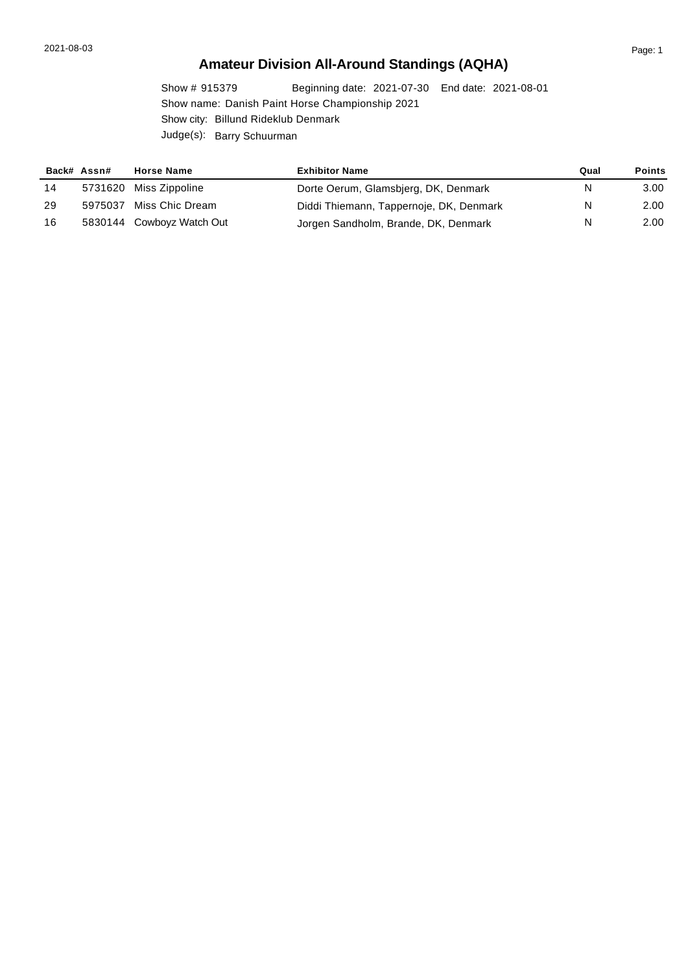# **Amateur Division All-Around Standings (AQHA)**

Show # 915379 Beginning date: 2021-07-30 End date: 2021-08-01 Show name: Danish Paint Horse Championship 2021 Show city: Billund Rideklub Denmark Judge(s): Barry Schuurman

|    | Back# Assn# | <b>Horse Name</b>         | <b>Exhibitor Name</b>                   | Qual | <b>Points</b> |
|----|-------------|---------------------------|-----------------------------------------|------|---------------|
| 14 |             | 5731620 Miss Zippoline    | Dorte Oerum, Glamsbjerg, DK, Denmark    | N    | 3.00          |
| 29 |             | 5975037 Miss Chic Dream   | Diddi Thiemann, Tappernoje, DK, Denmark | N    | 2.00          |
| 16 |             | 5830144 Cowboyz Watch Out | Jorgen Sandholm, Brande, DK, Denmark    | N    | 2.00          |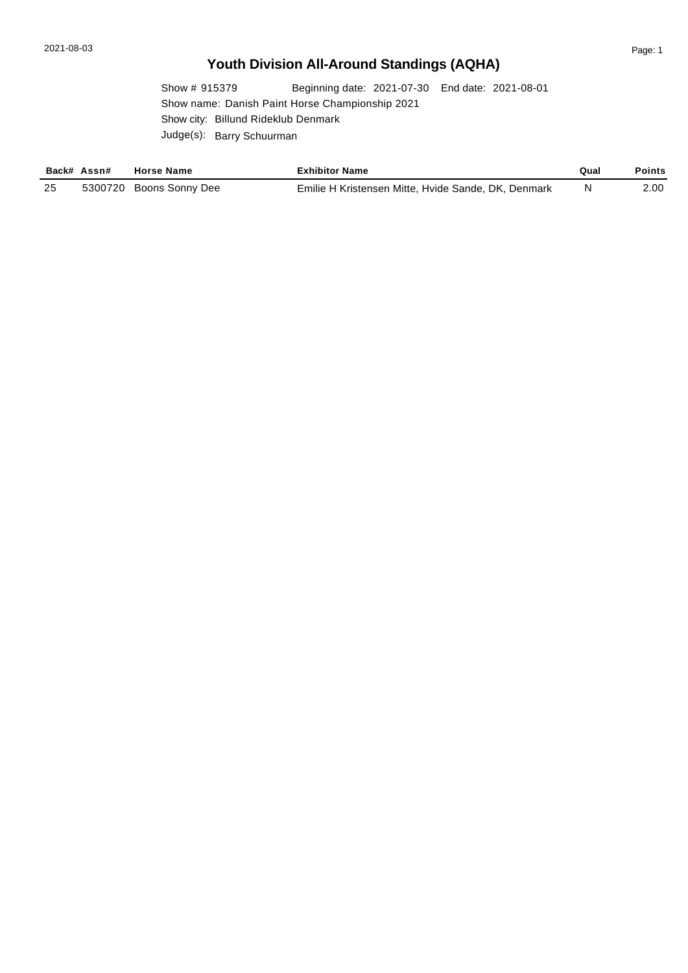# **Youth Division All-Around Standings (AQHA)**

Show # 915379 Beginning date: 2021-07-30 End date: 2021-08-01 Show name: Danish Paint Horse Championship 2021 Show city: Billund Rideklub Denmark Judge(s): Barry Schuurman

|      | Back# Assn# | <b>Horse Name</b>       | <b>Exhibitor Name</b>                               | Qual | Points |
|------|-------------|-------------------------|-----------------------------------------------------|------|--------|
| - 25 |             | 5300720 Boons Sonny Dee | Emilie H Kristensen Mitte, Hvide Sande, DK, Denmark |      | 2.00   |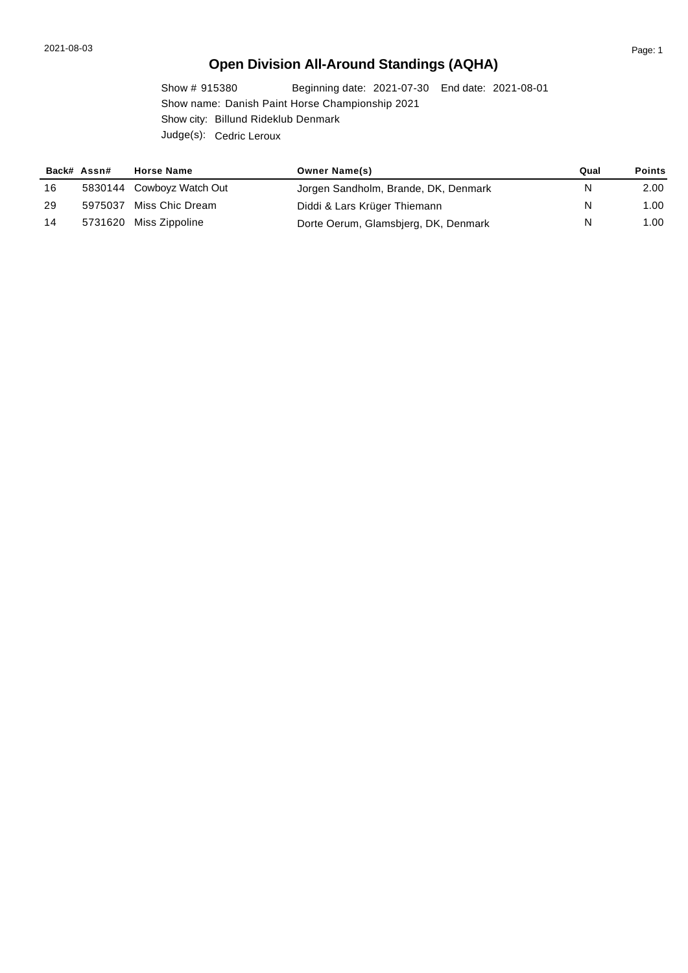# **Open Division All-Around Standings (AQHA)**

Show # 915380 Beginning date: 2021-07-30 End date: 2021-08-01 Show name: Danish Paint Horse Championship 2021 Show city: Billund Rideklub Denmark Judge(s): Cedric Leroux

|    | Back# Assn# | <b>Horse Name</b>         | <b>Owner Name(s)</b>                 | Qual | <b>Points</b> |
|----|-------------|---------------------------|--------------------------------------|------|---------------|
| 16 |             | 5830144 Cowboyz Watch Out | Jorgen Sandholm, Brande, DK, Denmark | N    | 2.00          |
| 29 |             | 5975037 Miss Chic Dream   | Diddi & Lars Krüger Thiemann         | N    | 1.00          |
| 14 |             | 5731620 Miss Zippoline    | Dorte Oerum, Glamsbjerg, DK, Denmark | N    | 1.00          |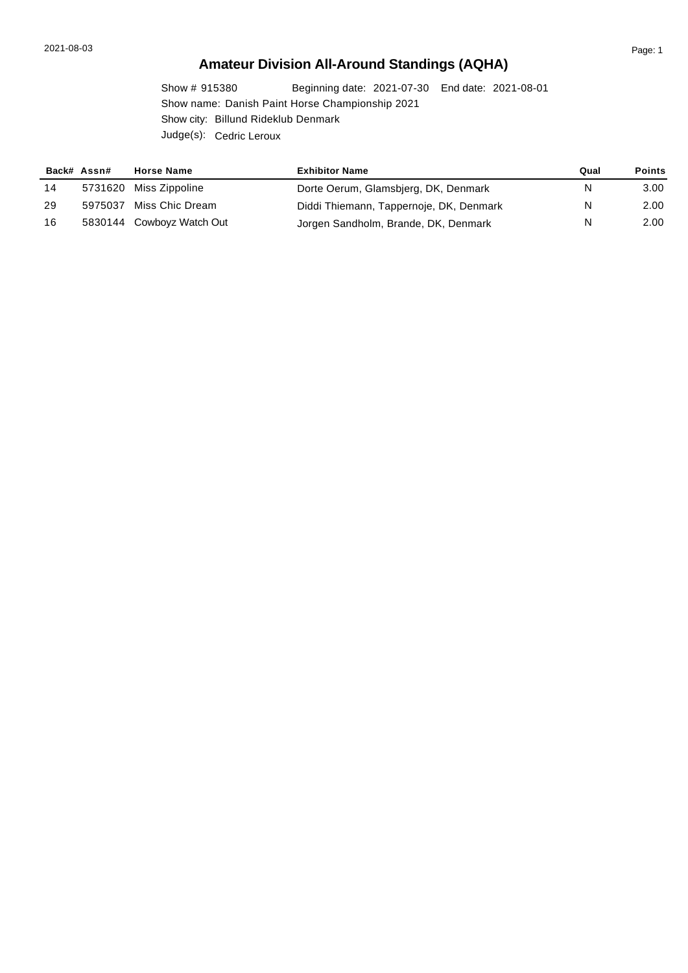# **Amateur Division All-Around Standings (AQHA)**

Show # 915380 Beginning date: 2021-07-30 End date: 2021-08-01 Show name: Danish Paint Horse Championship 2021 Show city: Billund Rideklub Denmark Judge(s): Cedric Leroux

|    | Back# Assn# | <b>Horse Name</b>         | <b>Exhibitor Name</b>                   | Qual | <b>Points</b> |
|----|-------------|---------------------------|-----------------------------------------|------|---------------|
| 14 |             | 5731620 Miss Zippoline    | Dorte Oerum, Glamsbjerg, DK, Denmark    | N    | 3.00          |
| 29 |             | 5975037 Miss Chic Dream   | Diddi Thiemann, Tappernoje, DK, Denmark | N    | 2.00          |
| 16 |             | 5830144 Cowboyz Watch Out | Jorgen Sandholm, Brande, DK, Denmark    | N    | 2.00          |